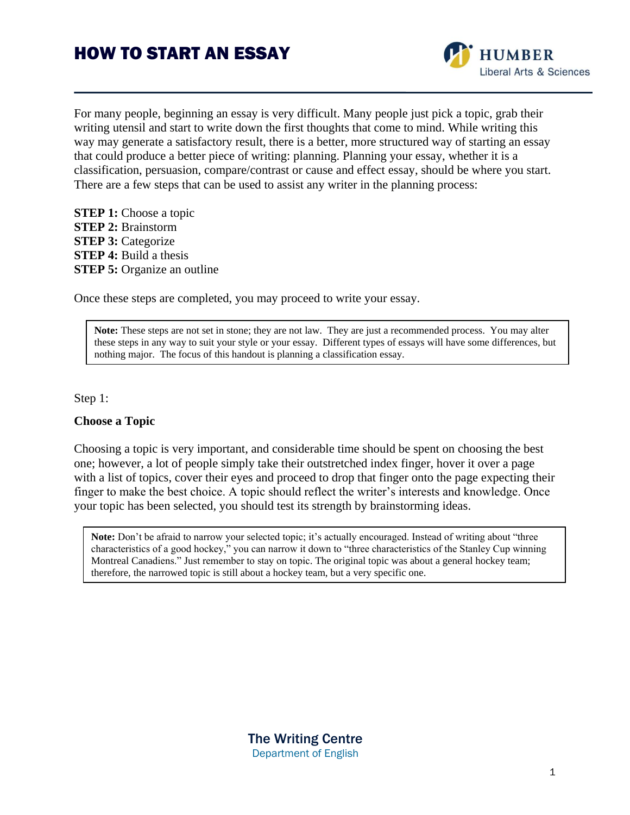

For many people, beginning an essay is very difficult. Many people just pick a topic, grab their writing utensil and start to write down the first thoughts that come to mind. While writing this way may generate a satisfactory result, there is a better, more structured way of starting an essay that could produce a better piece of writing: planning. Planning your essay, whether it is a classification, persuasion, compare/contrast or cause and effect essay, should be where you start. There are a few steps that can be used to assist any writer in the planning process:

**STEP 1:** Choose a topic **STEP 2:** Brainstorm **STEP 3: Categorize STEP 4:** Build a thesis **STEP 5:** Organize an outline

Once these steps are completed, you may proceed to write your essay.

**Note:** These steps are not set in stone; they are not law. They are just a recommended process. You may alter these steps in any way to suit your style or your essay. Different types of essays will have some differences, but nothing major. The focus of this handout is planning a classification essay.

#### Step 1:

### **Choose a Topic**

Choosing a topic is very important, and considerable time should be spent on choosing the best one; however, a lot of people simply take their outstretched index finger, hover it over a page with a list of topics, cover their eyes and proceed to drop that finger onto the page expecting their finger to make the best choice. A topic should reflect the writer's interests and knowledge. Once your topic has been selected, you should test its strength by brainstorming ideas.

**Note:** Don't be afraid to narrow your selected topic; it's actually encouraged. Instead of writing about "three characteristics of a good hockey," you can narrow it down to "three characteristics of the Stanley Cup winning Montreal Canadiens." Just remember to stay on topic. The original topic was about a general hockey team; therefore, the narrowed topic is still about a hockey team, but a very specific one.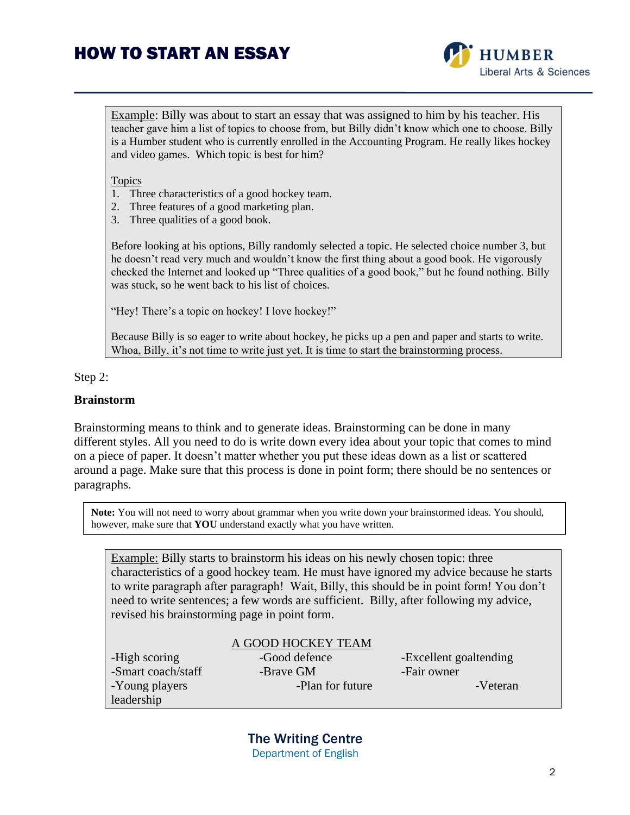

Example: Billy was about to start an essay that was assigned to him by his teacher. His teacher gave him a list of topics to choose from, but Billy didn't know which one to choose. Billy is a Humber student who is currently enrolled in the Accounting Program. He really likes hockey and video games. Which topic is best for him?

Topics

- 1. Three characteristics of a good hockey team.
- 2. Three features of a good marketing plan.
- 3. Three qualities of a good book.

Before looking at his options, Billy randomly selected a topic. He selected choice number 3, but he doesn't read very much and wouldn't know the first thing about a good book. He vigorously checked the Internet and looked up "Three qualities of a good book," but he found nothing. Billy was stuck, so he went back to his list of choices.

"Hey! There's a topic on hockey! I love hockey!"

Because Billy is so eager to write about hockey, he picks up a pen and paper and starts to write. Whoa, Billy, it's not time to write just yet. It is time to start the brainstorming process.

#### Step 2:

### **Brainstorm**

Brainstorming means to think and to generate ideas. Brainstorming can be done in many different styles. All you need to do is write down every idea about your topic that comes to mind on a piece of paper. It doesn't matter whether you put these ideas down as a list or scattered around a page. Make sure that this process is done in point form; there should be no sentences or paragraphs.

**Note:** You will not need to worry about grammar when you write down your brainstormed ideas. You should, however, make sure that **YOU** understand exactly what you have written.

Example: Billy starts to brainstorm his ideas on his newly chosen topic: three characteristics of a good hockey team. He must have ignored my advice because he starts to write paragraph after paragraph! Wait, Billy, this should be in point form! You don't need to write sentences; a few words are sufficient. Billy, after following my advice, revised his brainstorming page in point form.

|                    | A GOOD HOCKEY TEAM |                        |
|--------------------|--------------------|------------------------|
| -High scoring      | -Good defence      | -Excellent goaltending |
| -Smart coach/staff | -Brave GM          | -Fair owner            |
| -Young players     | -Plan for future   | -Veteran               |
| leadership         |                    |                        |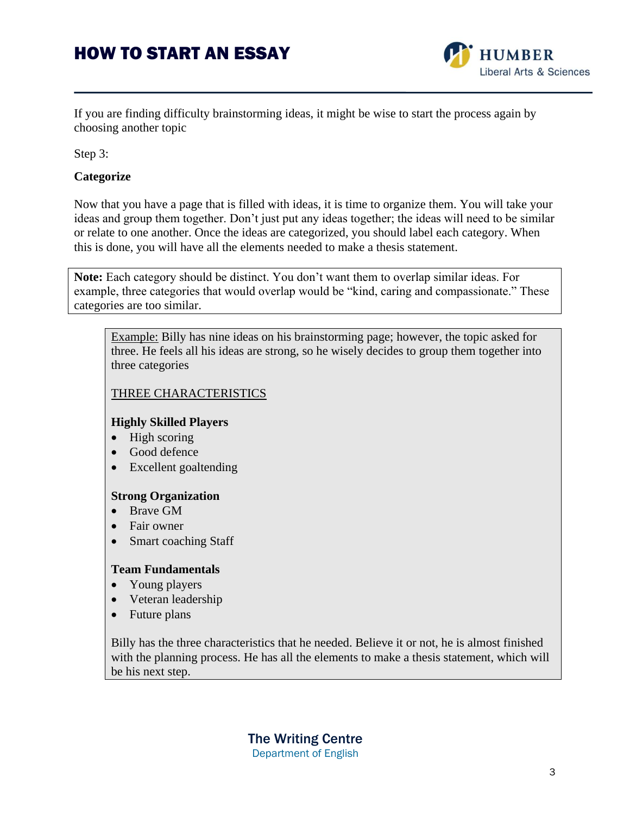

If you are finding difficulty brainstorming ideas, it might be wise to start the process again by choosing another topic

Step 3:

## **Categorize**

Now that you have a page that is filled with ideas, it is time to organize them. You will take your ideas and group them together. Don't just put any ideas together; the ideas will need to be similar or relate to one another. Once the ideas are categorized, you should label each category. When this is done, you will have all the elements needed to make a thesis statement.

**Note:** Each category should be distinct. You don't want them to overlap similar ideas. For example, three categories that would overlap would be "kind, caring and compassionate." These categories are too similar.

Example: Billy has nine ideas on his brainstorming page; however, the topic asked for three. He feels all his ideas are strong, so he wisely decides to group them together into three categories

### THREE CHARACTERISTICS

### **Highly Skilled Players**

- $\bullet$  High scoring
- Good defence
- Excellent goaltending

### **Strong Organization**

- Brave GM
- Fair owner
- Smart coaching Staff

### **Team Fundamentals**

- Young players
- Veteran leadership
- Future plans

Billy has the three characteristics that he needed. Believe it or not, he is almost finished with the planning process. He has all the elements to make a thesis statement, which will be his next step.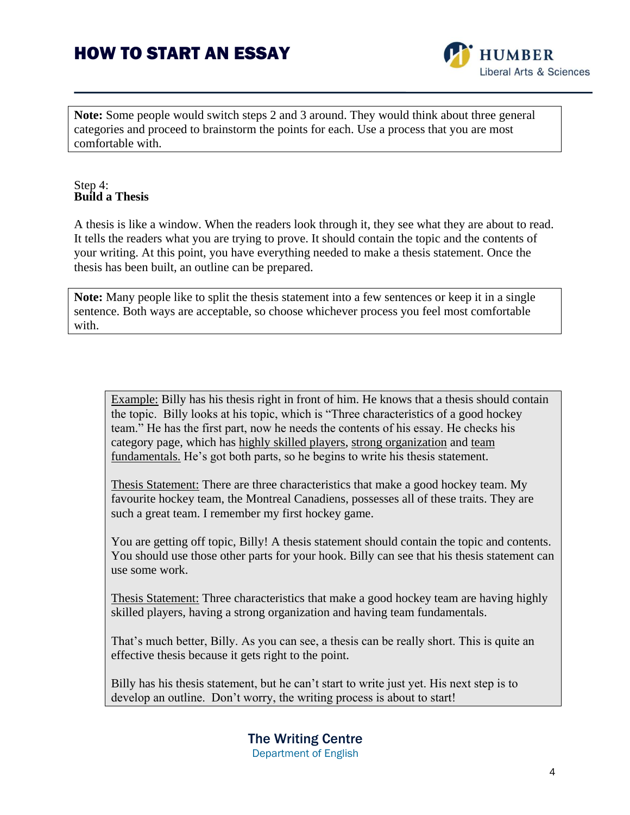

**Note:** Some people would switch steps 2 and 3 around. They would think about three general categories and proceed to brainstorm the points for each. Use a process that you are most comfortable with.

#### Step 4: **Build a Thesis**

A thesis is like a window. When the readers look through it, they see what they are about to read. It tells the readers what you are trying to prove. It should contain the topic and the contents of your writing. At this point, you have everything needed to make a thesis statement. Once the thesis has been built, an outline can be prepared.

**Note:** Many people like to split the thesis statement into a few sentences or keep it in a single sentence. Both ways are acceptable, so choose whichever process you feel most comfortable with.

Example: Billy has his thesis right in front of him. He knows that a thesis should contain the topic. Billy looks at his topic, which is "Three characteristics of a good hockey team." He has the first part, now he needs the contents of his essay. He checks his category page, which has highly skilled players, strong organization and team fundamentals. He's got both parts, so he begins to write his thesis statement.

Thesis Statement: There are three characteristics that make a good hockey team. My favourite hockey team, the Montreal Canadiens, possesses all of these traits. They are such a great team. I remember my first hockey game.

You are getting off topic, Billy! A thesis statement should contain the topic and contents. You should use those other parts for your hook. Billy can see that his thesis statement can use some work.

Thesis Statement: Three characteristics that make a good hockey team are having highly skilled players, having a strong organization and having team fundamentals.

That's much better, Billy. As you can see, a thesis can be really short. This is quite an effective thesis because it gets right to the point.

Billy has his thesis statement, but he can't start to write just yet. His next step is to develop an outline. Don't worry, the writing process is about to start!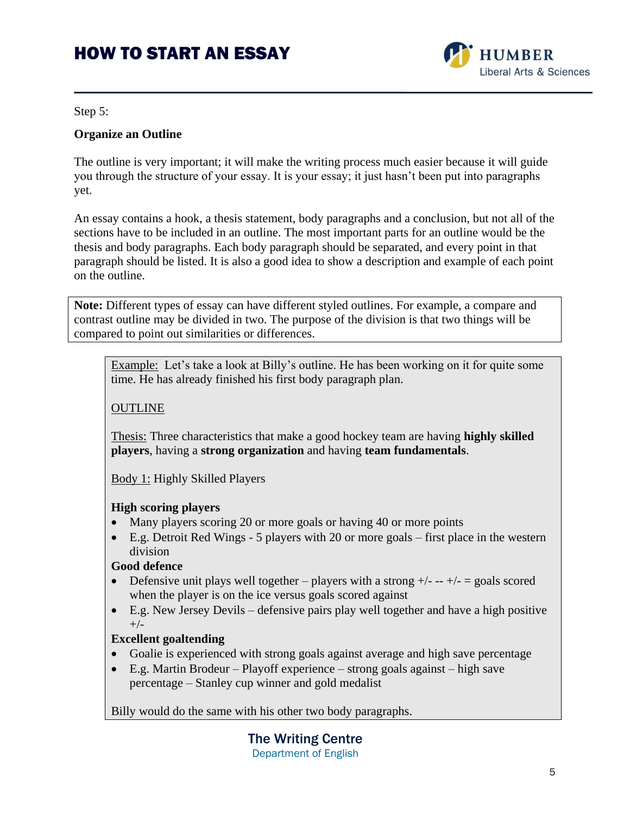

Step 5:

### **Organize an Outline**

The outline is very important; it will make the writing process much easier because it will guide you through the structure of your essay. It is your essay; it just hasn't been put into paragraphs yet.

An essay contains a hook, a thesis statement, body paragraphs and a conclusion, but not all of the sections have to be included in an outline. The most important parts for an outline would be the thesis and body paragraphs. Each body paragraph should be separated, and every point in that paragraph should be listed. It is also a good idea to show a description and example of each point on the outline.

**Note:** Different types of essay can have different styled outlines. For example, a compare and contrast outline may be divided in two. The purpose of the division is that two things will be compared to point out similarities or differences.

Example: Let's take a look at Billy's outline. He has been working on it for quite some time. He has already finished his first body paragraph plan.

## **OUTLINE**

Thesis: Three characteristics that make a good hockey team are having **highly skilled players**, having a **strong organization** and having **team fundamentals**.

Body 1: Highly Skilled Players

### **High scoring players**

- Many players scoring 20 or more goals or having 40 or more points
- E.g. Detroit Red Wings 5 players with 20 or more goals first place in the western division

## **Good defence**

- Defensive unit plays well together players with a strong  $+/- +/- =$  goals scored when the player is on the ice versus goals scored against
- E.g. New Jersey Devils defensive pairs play well together and have a high positive  $+/-$

### **Excellent goaltending**

- Goalie is experienced with strong goals against average and high save percentage
- E.g. Martin Brodeur Playoff experience strong goals against high save percentage – Stanley cup winner and gold medalist

Billy would do the same with his other two body paragraphs.